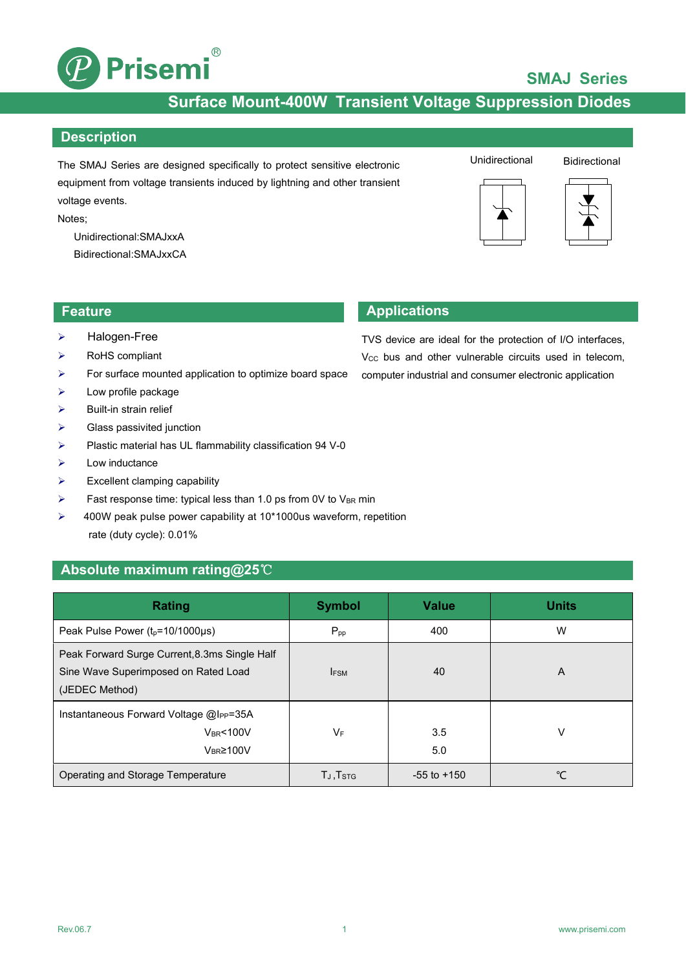

## **SMAJ Series**

## **Surface Mount-400W Transient Voltage Suppression Diodes**

#### **Description**

The SMAJ Series are designed specifically to protect sensitive electronic equipment from voltage transients induced by lightning and other transient voltage events.

Notes;

Unidirectional:SMAJxxA Bidirectional:SMAJxxCA



#### Unidirectional Bidirectional





- > Halogen-Free
- > RoHS compliant
- $\triangleright$  For surface mounted application to optimize board space
- $\blacktriangleright$  Low profile package
- $\triangleright$  Built-in strain relief
- $\triangleright$  Glass passivited junction
- $\triangleright$  Plastic material has UL flammability classification 94 V-0
- $\triangleright$  Low inductance
- $\triangleright$  Excellent clamping capability
- $\triangleright$  Fast response time: typical less than 1.0 ps from 0V to V<sub>BR</sub> min
- ▶ 400W peak pulse power capability at 10\*1000us waveform, repetition rate (duty cycle): 0.01%

#### **Absolute maximum rating@25**℃

| Rating                                                                                                  | <b>Symbol</b>     | <b>Value</b>    | <b>Units</b> |
|---------------------------------------------------------------------------------------------------------|-------------------|-----------------|--------------|
| Peak Pulse Power $(t_p=10/1000\mu s)$                                                                   | $P_{\text{pp}}$   | 400             | W            |
| Peak Forward Surge Current, 8.3ms Single Half<br>Sine Wave Superimposed on Rated Load<br>(JEDEC Method) | <b>IFSM</b>       | 40              | A            |
| Instantaneous Forward Voltage @Ipp=35A<br><b>VBR&lt;100V</b><br>$V_{BR} \ge 100V$                       | <b>VF</b>         | 3.5<br>5.0      | v            |
| Operating and Storage Temperature                                                                       | $T_J$ , $T_{STG}$ | $-55$ to $+150$ | ℃            |

## **Feature Applications**

TVS device are ideal for the protection of I/O interfaces, V<sub>cc</sub> bus and other vulnerable circuits used in telecom, computer industrial and consumer electronic application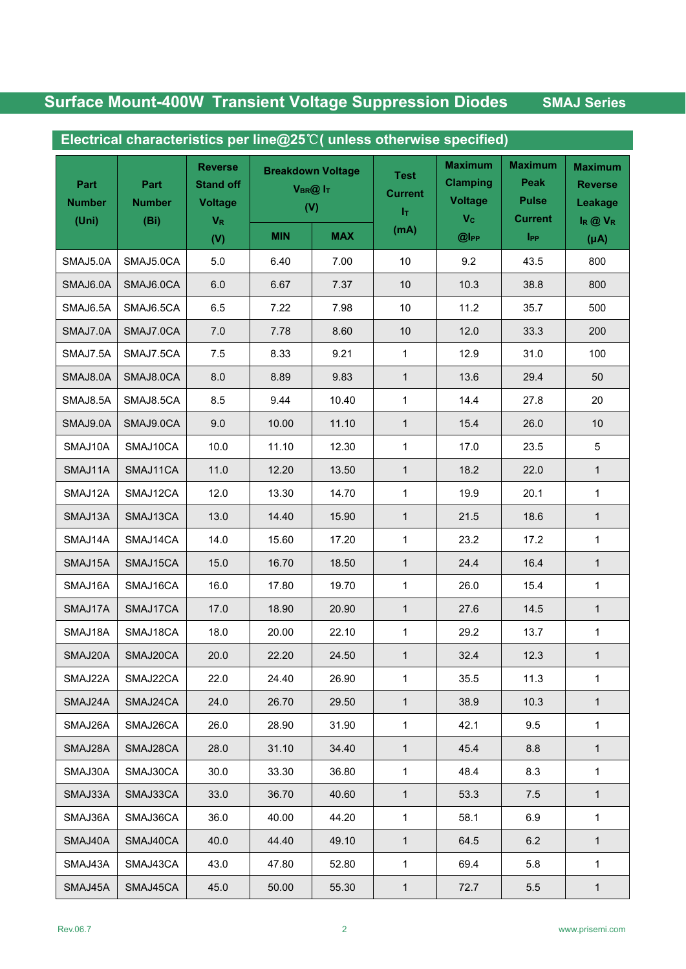| Electrical characteristics per line@25℃( unless otherwise specified) |                               |                                                                 |                                            |            |                                      |                                                           |                                                          |                                                            |
|----------------------------------------------------------------------|-------------------------------|-----------------------------------------------------------------|--------------------------------------------|------------|--------------------------------------|-----------------------------------------------------------|----------------------------------------------------------|------------------------------------------------------------|
| Part<br><b>Number</b><br>(Uni)                                       | Part<br><b>Number</b><br>(Bi) | <b>Reverse</b><br><b>Stand off</b><br><b>Voltage</b><br>$V_{R}$ | <b>Breakdown Voltage</b><br>VBR@ IT<br>(V) |            | <b>Test</b><br><b>Current</b><br>łт. | <b>Maximum</b><br><b>Clamping</b><br><b>Voltage</b><br>Vc | <b>Maximum</b><br>Peak<br><b>Pulse</b><br><b>Current</b> | <b>Maximum</b><br><b>Reverse</b><br>Leakage<br>$I_R @ V_R$ |
|                                                                      |                               | (V)                                                             | <b>MIN</b>                                 | <b>MAX</b> | (mA)                                 | $@$ l <sub>PP</sub>                                       | $_{\rm lpp}$                                             | $(\mu A)$                                                  |
| SMAJ5.0A                                                             | SMAJ5.0CA                     | 5.0                                                             | 6.40                                       | 7.00       | 10                                   | 9.2                                                       | 43.5                                                     | 800                                                        |
| SMAJ6.0A                                                             | SMAJ6.0CA                     | 6.0                                                             | 6.67                                       | 7.37       | $10$                                 | 10.3                                                      | 38.8                                                     | 800                                                        |
| SMAJ6.5A                                                             | SMAJ6.5CA                     | 6.5                                                             | 7.22                                       | 7.98       | 10 <sup>1</sup>                      | 11.2                                                      | 35.7                                                     | 500                                                        |
| SMAJ7.0A                                                             | SMAJ7.0CA                     | $7.0$                                                           | 7.78                                       | 8.60       | $10$                                 | 12.0                                                      | 33.3                                                     | 200                                                        |
| SMAJ7.5A                                                             | SMAJ7.5CA                     | 7.5                                                             | 8.33                                       | 9.21       | $\mathbf{1}$                         | 12.9                                                      | 31.0                                                     | 100                                                        |
| SMAJ8.0A                                                             | SMAJ8.0CA                     | 8.0                                                             | 8.89                                       | 9.83       | 1                                    | 13.6                                                      | 29.4                                                     | 50                                                         |
| SMAJ8.5A                                                             | SMAJ8.5CA                     | 8.5                                                             | 9.44                                       | 10.40      | 1                                    | 14.4                                                      | 27.8                                                     | 20                                                         |
| SMAJ9.0A                                                             | SMAJ9.0CA                     | 9.0                                                             | 10.00                                      | 11.10      | $\mathbf{1}$                         | 15.4                                                      | 26.0                                                     | 10                                                         |
| SMAJ10A                                                              | SMAJ10CA                      | 10.0                                                            | 11.10                                      | 12.30      | 1                                    | 17.0                                                      | 23.5                                                     | 5                                                          |
| SMAJ11A                                                              | SMAJ11CA                      | 11.0                                                            | 12.20                                      | 13.50      | $\mathbf{1}$                         | 18.2                                                      | 22.0                                                     | $\mathbf{1}$                                               |
| SMAJ12A                                                              | SMAJ12CA                      | 12.0                                                            | 13.30                                      | 14.70      | 1                                    | 19.9                                                      | 20.1                                                     | $\mathbf{1}$                                               |
| SMAJ13A                                                              | SMAJ13CA                      | 13.0                                                            | 14.40                                      | 15.90      | $\mathbf{1}$                         | 21.5                                                      | 18.6                                                     | $\mathbf{1}$                                               |
| SMAJ14A                                                              | SMAJ14CA                      | 14.0                                                            | 15.60                                      | 17.20      | $\mathbf{1}$                         | 23.2                                                      | 17.2                                                     | $\mathbf{1}$                                               |
| SMAJ15A                                                              | SMAJ15CA                      | 15.0                                                            | 16.70                                      | 18.50      | $\mathbf{1}$                         | 24.4                                                      | 16.4                                                     | $\mathbf{1}$                                               |
| SMAJ16A                                                              | SMAJ16CA                      | 16.0                                                            | 17.80                                      | 19.70      | 1                                    | 26.0                                                      | 15.4                                                     | $\mathbf{1}$                                               |
| SMAJ17A                                                              | SMAJ17CA                      | 17.0                                                            | 18.90                                      | 20.90      | $\mathbf{1}$                         | 27.6                                                      | 14.5                                                     | $\mathbf{1}$                                               |
| SMAJ18A                                                              | SMAJ18CA                      | 18.0                                                            | 20.00                                      | 22.10      | $\mathbf{1}$                         | 29.2                                                      | 13.7                                                     | $\mathbf{1}$                                               |
| SMAJ20A                                                              | SMAJ20CA                      | 20.0                                                            | 22.20                                      | 24.50      | 1                                    | 32.4                                                      | 12.3                                                     | $\mathbf{1}$                                               |
| SMAJ22A                                                              | SMAJ22CA                      | 22.0                                                            | 24.40                                      | 26.90      | $\mathbf{1}$                         | 35.5                                                      | 11.3                                                     | 1                                                          |
| SMAJ24A                                                              | SMAJ24CA                      | 24.0                                                            | 26.70                                      | 29.50      | 1                                    | 38.9                                                      | 10.3                                                     | 1                                                          |
| SMAJ26A                                                              | SMAJ26CA                      | 26.0                                                            | 28.90                                      | 31.90      | $\mathbf{1}$                         | 42.1                                                      | 9.5                                                      | $\mathbf{1}$                                               |
| SMAJ28A                                                              | SMAJ28CA                      | 28.0                                                            | 31.10                                      | 34.40      | $\mathbf{1}$                         | 45.4                                                      | 8.8                                                      | $\mathbf{1}$                                               |
| SMAJ30A                                                              | SMAJ30CA                      | 30.0                                                            | 33.30                                      | 36.80      | 1                                    | 48.4                                                      | 8.3                                                      | 1                                                          |
| SMAJ33A                                                              | SMAJ33CA                      | 33.0                                                            | 36.70                                      | 40.60      | $\mathbf{1}$                         | 53.3                                                      | 7.5                                                      | $\mathbf{1}$                                               |
| SMAJ36A                                                              | SMAJ36CA                      | 36.0                                                            | 40.00                                      | 44.20      | $\mathbf{1}$                         | 58.1                                                      | 6.9                                                      | 1                                                          |
| SMAJ40A                                                              | SMAJ40CA                      | 40.0                                                            | 44.40                                      | 49.10      | 1                                    | 64.5                                                      | 6.2                                                      | $\mathbf{1}$                                               |
| SMAJ43A                                                              | SMAJ43CA                      | 43.0                                                            | 47.80                                      | 52.80      | $\mathbf{1}$                         | 69.4                                                      | 5.8                                                      | $\mathbf{1}$                                               |
| SMAJ45A                                                              | SMAJ45CA                      | 45.0                                                            | 50.00                                      | 55.30      | $\mathbf{1}$                         | 72.7                                                      | 5.5                                                      | 1                                                          |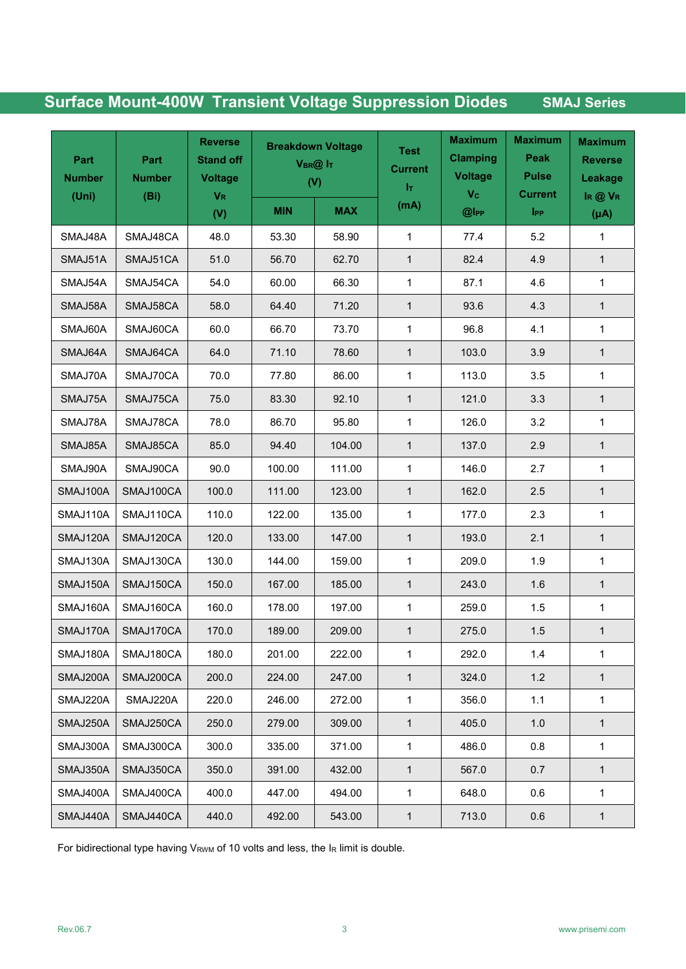| Part<br><b>Number</b><br>(Uni) | Part<br><b>Number</b><br>(Bi) | <b>Reverse</b><br><b>Stand off</b><br><b>Voltage</b><br>$V_{R}$ | <b>Breakdown Voltage</b><br>$V_{BR}$ @ $I_T$<br>(V) |            | <b>Test</b><br><b>Current</b><br>łт. | <b>Maximum</b><br><b>Clamping</b><br><b>Voltage</b><br>V <sub>c</sub> | <b>Maximum</b><br>Peak<br><b>Pulse</b><br><b>Current</b> | <b>Maximum</b><br><b>Reverse</b><br>Leakage<br>$I_R @ V_R$ |
|--------------------------------|-------------------------------|-----------------------------------------------------------------|-----------------------------------------------------|------------|--------------------------------------|-----------------------------------------------------------------------|----------------------------------------------------------|------------------------------------------------------------|
|                                |                               | (V)                                                             | <b>MIN</b>                                          | <b>MAX</b> | (mA)                                 | $@$ lpp                                                               | <b>IPP</b>                                               | $(\mu A)$                                                  |
| SMAJ48A                        | SMAJ48CA                      | 48.0                                                            | 53.30                                               | 58.90      | $\mathbf{1}$                         | 77.4                                                                  | 5.2                                                      | $\mathbf 1$                                                |
| SMAJ51A                        | SMAJ51CA                      | 51.0                                                            | 56.70                                               | 62.70      | $\mathbf{1}$                         | 82.4                                                                  | 4.9                                                      | $\mathbf{1}$                                               |
| SMAJ54A                        | SMAJ54CA                      | 54.0                                                            | 60.00                                               | 66.30      | 1                                    | 87.1                                                                  | 4.6                                                      | $\mathbf{1}$                                               |
| SMAJ58A                        | SMAJ58CA                      | 58.0                                                            | 64.40                                               | 71.20      | $\mathbf{1}$                         | 93.6                                                                  | 4.3                                                      | $\mathbf{1}$                                               |
| SMAJ60A                        | SMAJ60CA                      | 60.0                                                            | 66.70                                               | 73.70      | 1                                    | 96.8                                                                  | 4.1                                                      | 1                                                          |
| SMAJ64A                        | SMAJ64CA                      | 64.0                                                            | 71.10                                               | 78.60      | $\mathbf{1}$                         | 103.0                                                                 | 3.9                                                      | $\mathbf{1}$                                               |
| SMAJ70A                        | SMAJ70CA                      | 70.0                                                            | 77.80                                               | 86.00      | 1                                    | 113.0                                                                 | 3.5                                                      | 1                                                          |
| SMAJ75A                        | SMAJ75CA                      | 75.0                                                            | 83.30                                               | 92.10      | $\mathbf{1}$                         | 121.0                                                                 | 3.3                                                      | $\mathbf{1}$                                               |
| SMAJ78A                        | SMAJ78CA                      | 78.0                                                            | 86.70                                               | 95.80      | $\mathbf{1}$                         | 126.0                                                                 | 3.2                                                      | 1                                                          |
| SMAJ85A                        | SMAJ85CA                      | 85.0                                                            | 94.40                                               | 104.00     | $\mathbf{1}$                         | 137.0                                                                 | 2.9                                                      | $\mathbf{1}$                                               |
| SMAJ90A                        | SMAJ90CA                      | 90.0                                                            | 100.00                                              | 111.00     | $\mathbf{1}$                         | 146.0                                                                 | 2.7                                                      | 1                                                          |
| SMAJ100A                       | SMAJ100CA                     | 100.0                                                           | 111.00                                              | 123.00     | $\mathbf{1}$                         | 162.0                                                                 | 2.5                                                      | $\mathbf{1}$                                               |
| SMAJ110A                       | SMAJ110CA                     | 110.0                                                           | 122.00                                              | 135.00     | 1                                    | 177.0                                                                 | 2.3                                                      | 1                                                          |
| SMAJ120A                       | SMAJ120CA                     | 120.0                                                           | 133.00                                              | 147.00     | $\mathbf{1}$                         | 193.0                                                                 | 2.1                                                      | $\mathbf{1}$                                               |
| SMAJ130A                       | SMAJ130CA                     | 130.0                                                           | 144.00                                              | 159.00     | $\mathbf{1}$                         | 209.0                                                                 | 1.9                                                      | 1                                                          |
| SMAJ150A                       | SMAJ150CA                     | 150.0                                                           | 167.00                                              | 185.00     | $\mathbf{1}$                         | 243.0                                                                 | 1.6                                                      | $\mathbf{1}$                                               |
| SMAJ160A                       | SMAJ160CA                     | 160.0                                                           | 178.00                                              | 197.00     | 1                                    | 259.0                                                                 | 1.5                                                      | 1                                                          |
| SMAJ170A                       | SMAJ170CA                     | 170.0                                                           | 189.00                                              | 209.00     | $\mathbf{1}$                         | 275.0                                                                 | 1.5                                                      | $\mathbf{1}$                                               |
| SMAJ180A                       | SMAJ180CA                     | 180.0                                                           | 201.00                                              | 222.00     | 1                                    | 292.0                                                                 | 1.4                                                      | 1                                                          |
| SMAJ200A                       | SMAJ200CA                     | 200.0                                                           | 224.00                                              | 247.00     | $\mathbf{1}$                         | 324.0                                                                 | $1.2$                                                    | $\mathbf{1}$                                               |
| SMAJ220A                       | SMAJ220A                      | 220.0                                                           | 246.00                                              | 272.00     | $\mathbf{1}$                         | 356.0                                                                 | 1.1                                                      | 1                                                          |
| SMAJ250A                       | SMAJ250CA                     | 250.0                                                           | 279.00                                              | 309.00     | $\mathbf{1}$                         | 405.0                                                                 | 1.0                                                      | $\mathbf{1}$                                               |
| SMAJ300A                       | SMAJ300CA                     | 300.0                                                           | 335.00                                              | 371.00     | $\mathbf{1}$                         | 486.0                                                                 | 0.8                                                      | 1                                                          |
| SMAJ350A                       | SMAJ350CA                     | 350.0                                                           | 391.00                                              | 432.00     | 1                                    | 567.0                                                                 | 0.7                                                      | 1                                                          |
| SMAJ400A                       | SMAJ400CA                     | 400.0                                                           | 447.00                                              | 494.00     | $\mathbf{1}$                         | 648.0                                                                 | 0.6                                                      | 1                                                          |
| SMAJ440A                       | SMAJ440CA                     | 440.0                                                           | 492.00                                              | 543.00     | $\mathbf{1}$                         | 713.0                                                                 | 0.6                                                      | $\mathbf{1}$                                               |

For bidirectional type having VRWM of 10 volts and less, the IR limit is double.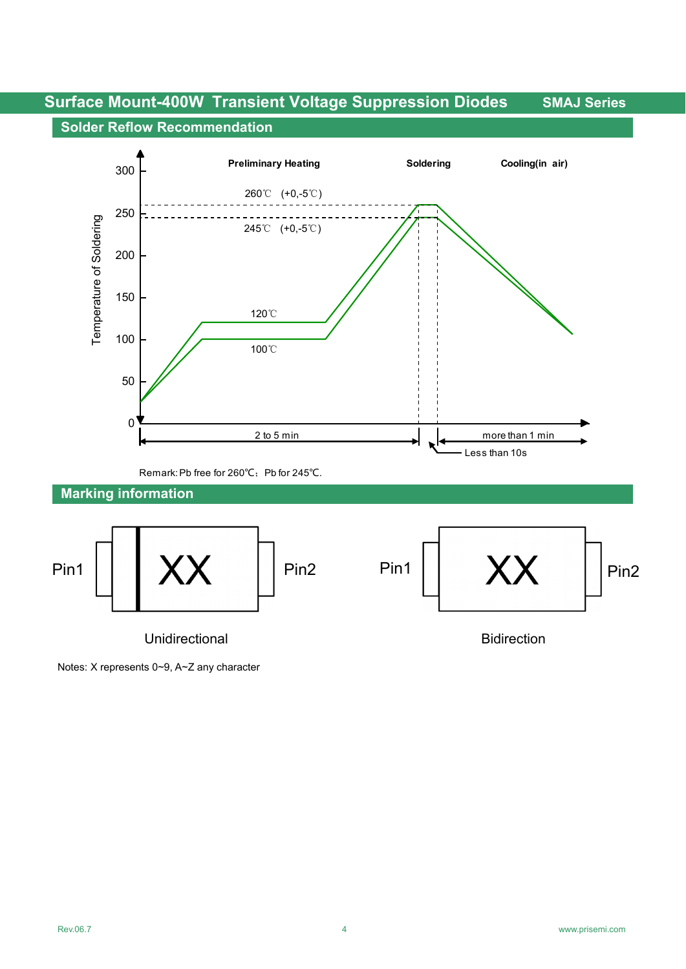#### **Solder Reflow Recommendation**



Notes: X represents 0~9, A~Z any character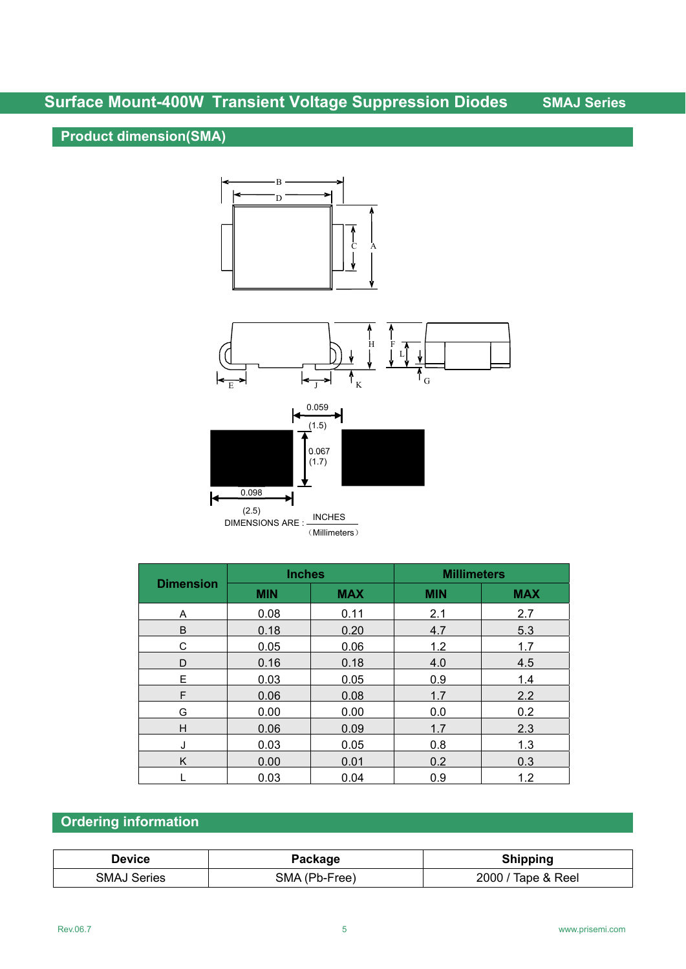## **Product dimension(SMA)**



|                  | <b>Inches</b> |            | <b>Millimeters</b> |            |  |
|------------------|---------------|------------|--------------------|------------|--|
| <b>Dimension</b> | <b>MIN</b>    | <b>MAX</b> | <b>MIN</b>         | <b>MAX</b> |  |
| A                | 0.08          | 0.11       | 2.1                | 2.7        |  |
| B                | 0.18          | 0.20       | 4.7                | 5.3        |  |
| C                | 0.05          | 0.06       | 1.2                | 1.7        |  |
| D                | 0.16          | 0.18       | 4.0                | 4.5        |  |
| E                | 0.03          | 0.05       | 0.9                | 1.4        |  |
| F                | 0.06          | 0.08       | 1.7                | 2.2        |  |
| G                | 0.00          | 0.00       | 0.0                | 0.2        |  |
| Н                | 0.06          | 0.09       | 1.7                | 2.3        |  |
| J                | 0.03          | 0.05       | 0.8                | 1.3        |  |
| K                | 0.00          | 0.01       | 0.2                | 0.3        |  |
|                  | 0.03          | 0.04       | 0.9                | 1.2        |  |

## **Ordering information**

| <b>Device</b>      | Package       | <b>Shipping</b>    |
|--------------------|---------------|--------------------|
| <b>SMAJ Series</b> | SMA (Pb-Free) | 2000 / Tape & Reel |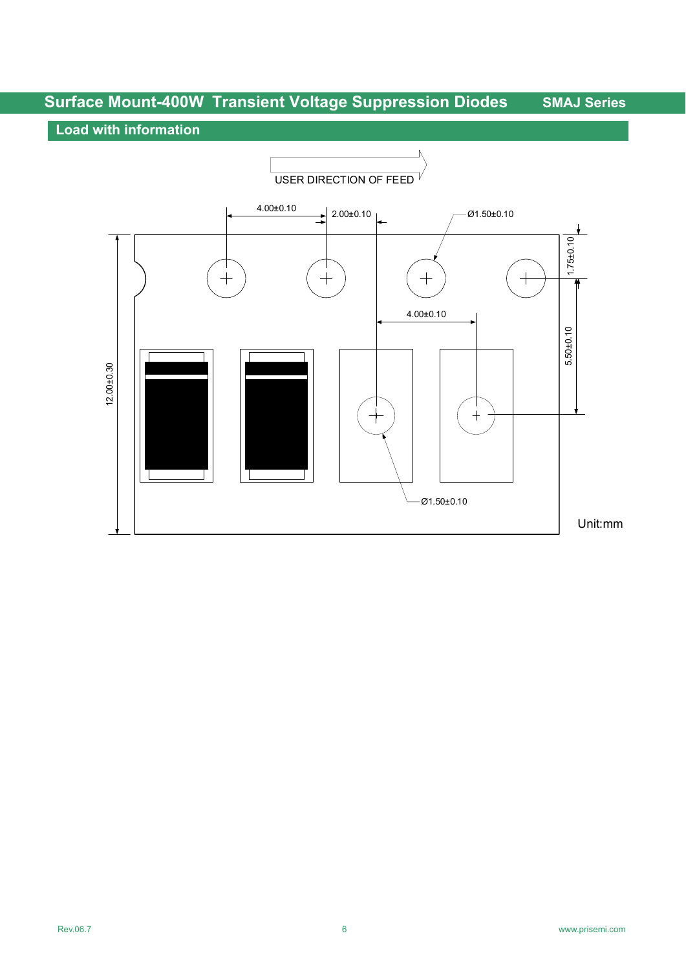### **Load with information**